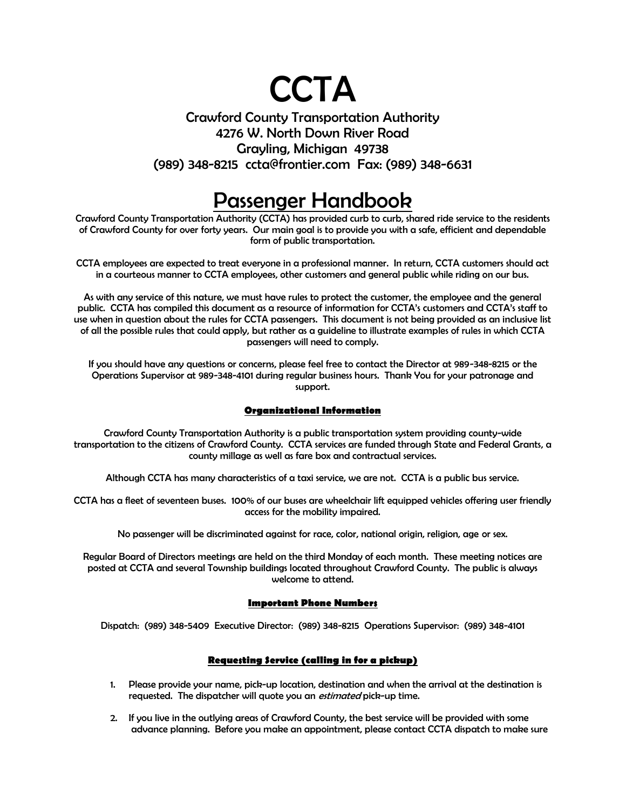# **CCTA**

### Crawford County Transportation Authority 4276 W. North Down River Road Grayling, Michigan 49738 (989) 348-8215 ccta@frontier.com Fax: (989) 348-6631

## Passenger Handbook

Crawford County Transportation Authority (CCTA) has provided curb to curb, shared ride service to the residents of Crawford County for over forty years. Our main goal is to provide you with a safe, efficient and dependable form of public transportation.

CCTA employees are expected to treat everyone in a professional manner. In return, CCTA customers should act in a courteous manner to CCTA employees, other customers and general public while riding on our bus.

As with any service of this nature, we must have rules to protect the customer, the employee and the general public. CCTA has compiled this document as a resource of information for CCTA's customers and CCTA's staff to use when in question about the rules for CCTA passengers. This document is not being provided as an inclusive list of all the possible rules that could apply, but rather as a guideline to illustrate examples of rules in which CCTA passengers will need to comply.

If you should have any questions or concerns, please feel free to contact the Director at 989-348-8215 or the Operations Supervisor at 989-348-4101 during regular business hours. Thank You for your patronage and support.

#### **Organizational Information**

Crawford County Transportation Authority is a public transportation system providing county-wide transportation to the citizens of Crawford County. CCTA services are funded through State and Federal Grants, a county millage as well as fare box and contractual services.

Although CCTA has many characteristics of a taxi service, we are not. CCTA is a public bus service.

CCTA has a fleet of seventeen buses. 100% of our buses are wheelchair lift equipped vehicles offering user friendly access for the mobility impaired.

No passenger will be discriminated against for race, color, national origin, religion, age or sex.

Regular Board of Directors meetings are held on the third Monday of each month. These meeting notices are posted at CCTA and several Township buildings located throughout Crawford County. The public is always welcome to attend.

#### **Important Phone Numbers**

Dispatch: (989) 348-5409 Executive Director: (989) 348-8215 Operations Supervisor: (989) 348-4101

#### **Requesting Service (calling in for a pickup)**

- 1. Please provide your name, pick-up location, destination and when the arrival at the destination is requested. The dispatcher will quote you an *estimated* pick-up time.
- 2. If you live in the outlying areas of Crawford County, the best service will be provided with some advance planning. Before you make an appointment, please contact CCTA dispatch to make sure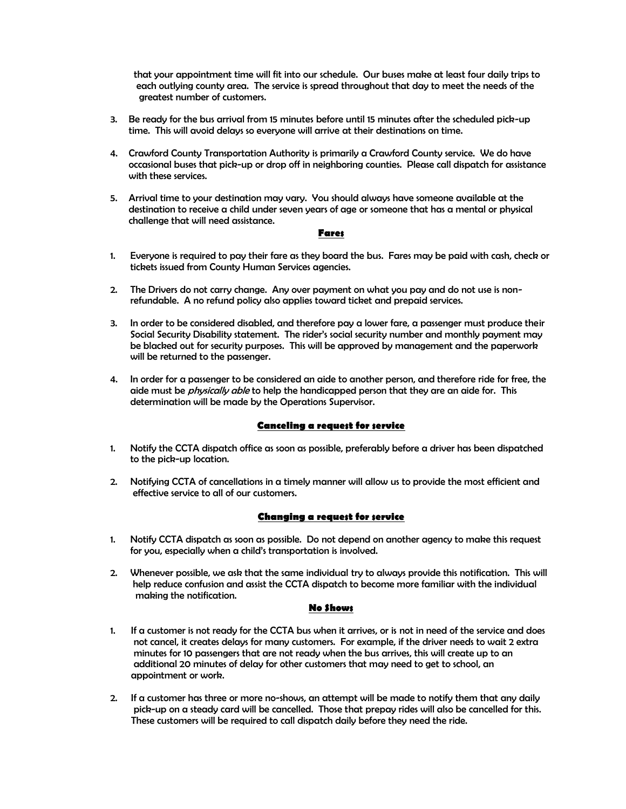that your appointment time will fit into our schedule. Our buses make at least four daily trips to each outlying county area. The service is spread throughout that day to meet the needs of the greatest number of customers.

- 3. Be ready for the bus arrival from 15 minutes before until 15 minutes after the scheduled pick-up time. This will avoid delays so everyone will arrive at their destinations on time.
- 4. Crawford County Transportation Authority is primarily a Crawford County service. We do have occasional buses that pick-up or drop off in neighboring counties. Please call dispatch for assistance with these services.
- 5. Arrival time to your destination may vary. You should always have someone available at the destination to receive a child under seven years of age or someone that has a mental or physical challenge that will need assistance.

#### **Fares**

- 1. Everyone is required to pay their fare as they board the bus. Fares may be paid with cash, check or tickets issued from County Human Services agencies.
- 2. The Drivers do not carry change. Any over payment on what you pay and do not use is nonrefundable. A no refund policy also applies toward ticket and prepaid services.
- 3. In order to be considered disabled, and therefore pay a lower fare, a passenger must produce their Social Security Disability statement. The rider's social security number and monthly payment may be blacked out for security purposes. This will be approved by management and the paperwork will be returned to the passenger.
- 4. In order for a passenger to be considered an aide to another person, and therefore ride for free, the aide must be *physically able* to help the handicapped person that they are an aide for. This determination will be made by the Operations Supervisor.

#### **Canceling a request for service**

- 1. Notify the CCTA dispatch office as soon as possible, preferably before a driver has been dispatched to the pick-up location.
- 2. Notifying CCTA of cancellations in a timely manner will allow us to provide the most efficient and effective service to all of our customers.

#### **Changing a request for service**

- 1. Notify CCTA dispatch as soon as possible. Do not depend on another agency to make this request for you, especially when a child's transportation is involved.
- 2. Whenever possible, we ask that the same individual try to always provide this notification. This will help reduce confusion and assist the CCTA dispatch to become more familiar with the individual making the notification.

#### **No Shows**

- 1. If a customer is not ready for the CCTA bus when it arrives, or is not in need of the service and does not cancel, it creates delays for many customers. For example, if the driver needs to wait 2 extra minutes for 10 passengers that are not ready when the bus arrives, this will create up to an additional 20 minutes of delay for other customers that may need to get to school, an appointment or work.
- 2. If a customer has three or more no-shows, an attempt will be made to notify them that any daily pick-up on a steady card will be cancelled. Those that prepay rides will also be cancelled for this. These customers will be required to call dispatch daily before they need the ride.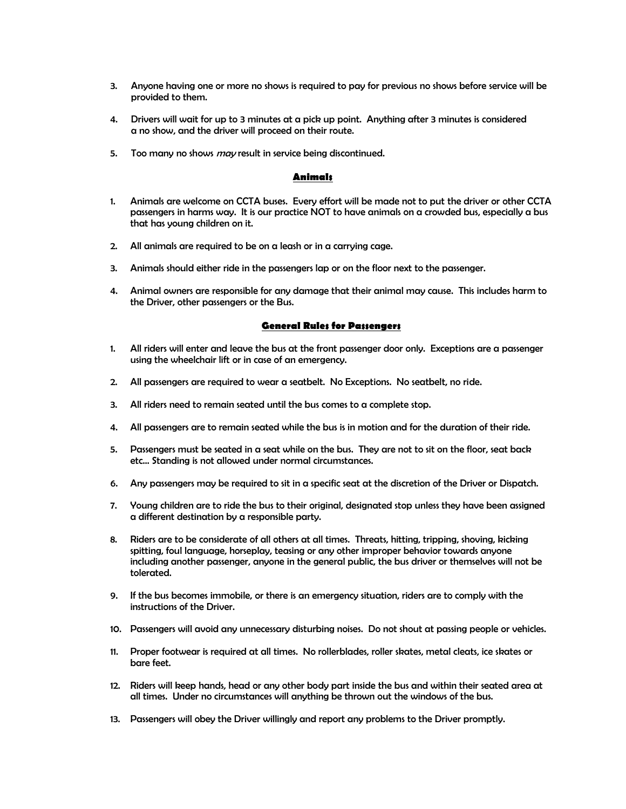- 3. Anyone having one or more no shows is required to pay for previous no shows before service will be provided to them.
- 4. Drivers will wait for up to 3 minutes at a pick up point. Anything after 3 minutes is considered a no show, and the driver will proceed on their route.
- 5. Too many no shows *may* result in service being discontinued.

#### **Animals**

- 1. Animals are welcome on CCTA buses. Every effort will be made not to put the driver or other CCTA passengers in harms way. It is our practice NOT to have animals on a crowded bus, especially a bus that has young children on it.
- 2. All animals are required to be on a leash or in a carrying cage.
- 3. Animals should either ride in the passengers lap or on the floor next to the passenger.
- 4. Animal owners are responsible for any damage that their animal may cause. This includes harm to the Driver, other passengers or the Bus.

#### **General Rules for Passengers**

- 1. All riders will enter and leave the bus at the front passenger door only. Exceptions are a passenger using the wheelchair lift or in case of an emergency.
- 2. All passengers are required to wear a seatbelt. No Exceptions. No seatbelt, no ride.
- 3. All riders need to remain seated until the bus comes to a complete stop.
- 4. All passengers are to remain seated while the bus is in motion and for the duration of their ride.
- 5. Passengers must be seated in a seat while on the bus. They are not to sit on the floor, seat back etc… Standing is not allowed under normal circumstances.
- 6. Any passengers may be required to sit in a specific seat at the discretion of the Driver or Dispatch.
- 7. Young children are to ride the bus to their original, designated stop unless they have been assigned a different destination by a responsible party.
- 8. Riders are to be considerate of all others at all times. Threats, hitting, tripping, shoving, kicking spitting, foul language, horseplay, teasing or any other improper behavior towards anyone including another passenger, anyone in the general public, the bus driver or themselves will not be tolerated.
- 9. If the bus becomes immobile, or there is an emergency situation, riders are to comply with the instructions of the Driver.
- 10. Passengers will avoid any unnecessary disturbing noises. Do not shout at passing people or vehicles.
- 11. Proper footwear is required at all times. No rollerblades, roller skates, metal cleats, ice skates or bare feet.
- 12. Riders will keep hands, head or any other body part inside the bus and within their seated area at all times. Under no circumstances will anything be thrown out the windows of the bus.
- 13. Passengers will obey the Driver willingly and report any problems to the Driver promptly.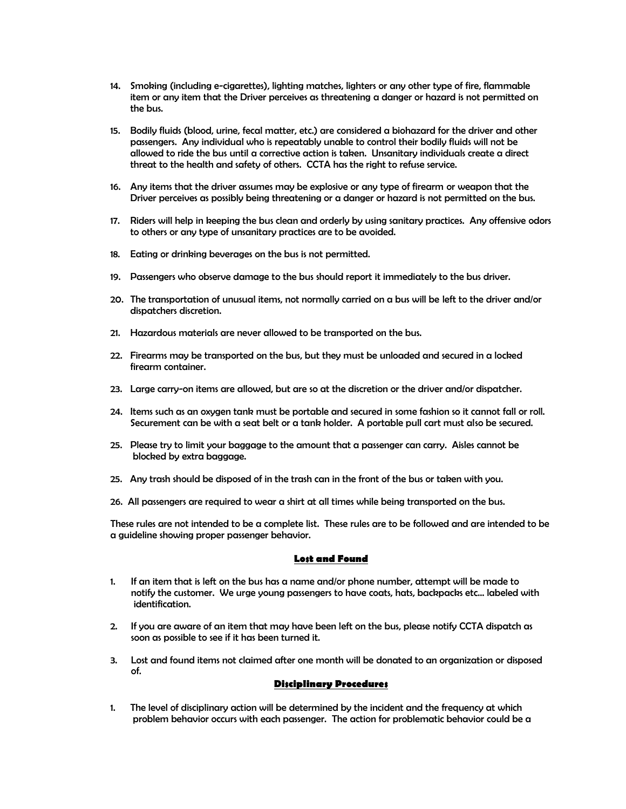- 14. Smoking (including e-cigarettes), lighting matches, lighters or any other type of fire, flammable item or any item that the Driver perceives as threatening a danger or hazard is not permitted on the bus.
- 15. Bodily fluids (blood, urine, fecal matter, etc.) are considered a biohazard for the driver and other passengers. Any individual who is repeatably unable to control their bodily fluids will not be allowed to ride the bus until a corrective action is taken. Unsanitary individuals create a direct threat to the health and safety of others. CCTA has the right to refuse service.
- 16. Any items that the driver assumes may be explosive or any type of firearm or weapon that the Driver perceives as possibly being threatening or a danger or hazard is not permitted on the bus.
- 17. Riders will help in keeping the bus clean and orderly by using sanitary practices. Any offensive odors to others or any type of unsanitary practices are to be avoided.
- 18. Eating or drinking beverages on the bus is not permitted.
- 19. Passengers who observe damage to the bus should report it immediately to the bus driver.
- 20. The transportation of unusual items, not normally carried on a bus will be left to the driver and/or dispatchers discretion.
- 21. Hazardous materials are never allowed to be transported on the bus.
- 22. Firearms may be transported on the bus, but they must be unloaded and secured in a locked firearm container.
- 23. Large carry-on items are allowed, but are so at the discretion or the driver and/or dispatcher.
- 24. Items such as an oxygen tank must be portable and secured in some fashion so it cannot fall or roll. Securement can be with a seat belt or a tank holder. A portable pull cart must also be secured.
- 25. Please try to limit your baggage to the amount that a passenger can carry. Aisles cannot be blocked by extra baggage.
- 25. Any trash should be disposed of in the trash can in the front of the bus or taken with you.
- 26. All passengers are required to wear a shirt at all times while being transported on the bus.

These rules are not intended to be a complete list. These rules are to be followed and are intended to be a guideline showing proper passenger behavior.

#### **Lost and Found**

- 1. If an item that is left on the bus has a name and/or phone number, attempt will be made to notify the customer. We urge young passengers to have coats, hats, backpacks etc… labeled with identification.
- 2. If you are aware of an item that may have been left on the bus, please notify CCTA dispatch as soon as possible to see if it has been turned it.
- 3. Lost and found items not claimed after one month will be donated to an organization or disposed of.

#### **Disciplinary Procedures**

1. The level of disciplinary action will be determined by the incident and the frequency at which problem behavior occurs with each passenger. The action for problematic behavior could be a